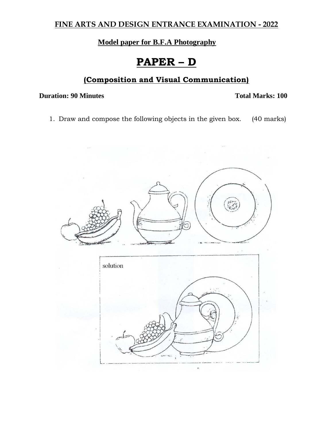## **FINE ARTS AND DESIGN ENTRANCE EXAMINATION - 2022**

## **Model paper for B.F.A Photography**

# **PAPER – D**

## **(Composition and Visual Communication)**

### **Duration: 90 Minutes Total Marks: 100**

1. Draw and compose the following objects in the given box. (40 marks)

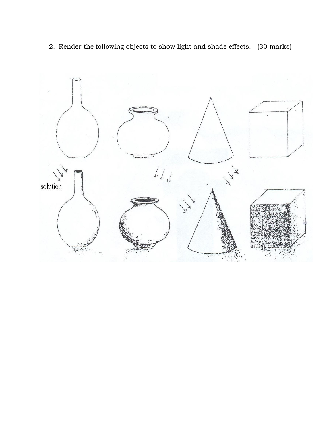2. Render the following objects to show light and shade effects. (30 marks)

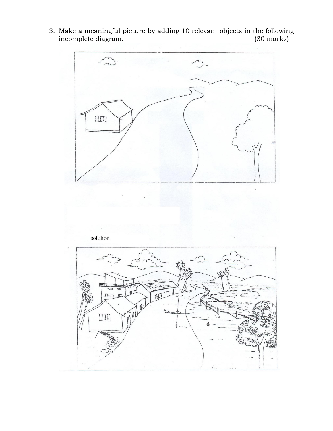3. Make a meaningful picture by adding 10 relevant objects in the following incomplete diagram. (30 marks)

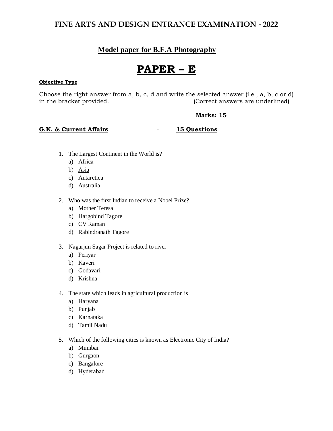## **FINE ARTS AND DESIGN ENTRANCE EXAMINATION - 2022**

## **Model paper for B.F.A Photography**

# **PAPER – E**

#### **Objective Type**

Choose the right answer from a, b, c, d and write the selected answer (i.e., a, b, c or d) in the bracket provided. (Correct answers are underlined)

#### **Marks: 15**

#### **G.K. & Current Affairs** - **15 Questions**

- 1. The Largest Continent in the World is?
	- a) Africa
	- b) Asia
	- c) Antarctica
	- d) Australia
- 2. Who was the first Indian to receive a Nobel Prize?
	- a) Mother Teresa
	- b) Hargobind Tagore
	- c) CV Raman
	- d) Rabindranath Tagore
- 3. Nagarjun Sagar Project is related to river
	- a) Periyar
	- b) Kaveri
	- c) Godavari
	- d) Krishna
- 4. The state which leads in agricultural production is
	- a) Haryana
	- b) Punjab
	- c) Karnataka
	- d) Tamil Nadu
- 5. Which of the following cities is known as Electronic City of India?
	- a) Mumbai
	- b) Gurgaon
	- c) Bangalore
	- d) Hyderabad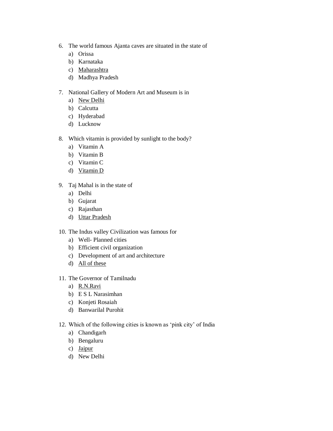- 6. The world famous Ajanta caves are situated in the state of
	- a) Orissa
	- b) Karnataka
	- c) Maharashtra
	- d) Madhya Pradesh
- 7. National Gallery of Modern Art and Museum is in
	- a) New Delhi
	- b) Calcutta
	- c) Hyderabad
	- d) Lucknow
- 8. Which vitamin is provided by sunlight to the body?
	- a) Vitamin A
	- b) Vitamin B
	- c) Vitamin C
	- d) Vitamin D
- 9. Taj Mahal is in the state of
	- a) Delhi
	- b) Gujarat
	- c) Rajasthan
	- d) Uttar Pradesh
- 10. The Indus valley Civilization was famous for
	- a) Well- Planned cities
	- b) Efficient civil organization
	- c) Development of art and architecture
	- d) All of these
- 11. The Governor of Tamilnadu
	- a) R.N.Ravi
	- b) E S L Narasimhan
	- c) Konjeti Rosaiah
	- d) Banwarilal Purohit
- 12. Which of the following cities is known as 'pink city' of India
	- a) Chandigarh
	- b) Bengaluru
	- c) Jaipur
	- d) New Delhi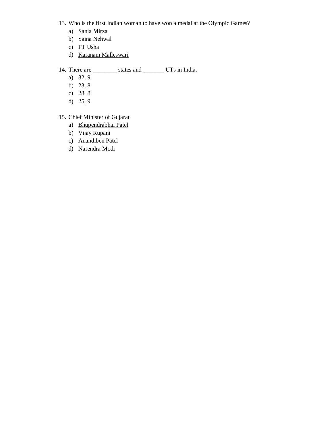- 13. Who is the first Indian woman to have won a medal at the Olympic Games?
	- a) Sania Mirza
	- b) Saina Nehwal
	- c) PT Usha
	- d) Karanam Malleswari
- 14. There are \_\_\_\_\_\_\_\_\_\_ states and \_\_\_\_\_\_\_\_ UTs in India.
	- a) 32, 9
	- b) 23, 8
	- c)  $28, 8$
	- d) 25, 9
- 15. Chief Minister of Gujarat
	- a) Bhupendrabhai Patel
	- b) Vijay Rupani
	- c) Anandiben Patel
	- d) Narendra Modi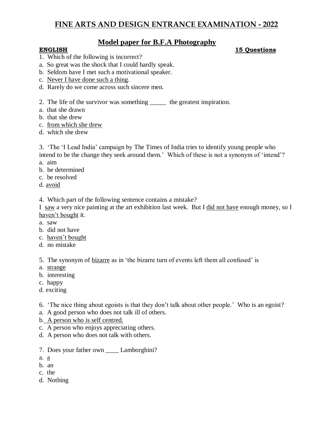## **Model paper for B.F.A Photography**

### **ENGLISH 15 Questions**

- 1. Which of the following is incorrect?
- a. So great was the shock that I could hardly speak.
- b. Seldom have I met such a motivational speaker.
- c. Never I have done such a thing.
- d. Rarely do we come across such sincere men.
- 2. The life of the survivor was something \_\_\_\_\_ the greatest inspiration.
- a. that she drawn
- b. that she drew
- c. from which she drew
- d. which she drew

3. 'The 'I Lead India' campaign by The Times of India tries to identify young people who intend to be the change they seek around them.' Which of these is not a synonym of 'intend'?

- a. aim
- b. be determined
- c. be resolved
- d. avoid

4. Which part of the following sentence contains a mistake?

I saw a very nice painting at the art exhibition last week. But I did not have enough money, so I haven't bought it.

- a. saw
- b. did not have
- c. haven't bought
- d. no mistake

5. The synonym of bizarre as in 'the bizarre turn of events left them all confused' is

- a. strange
- b. interesting
- c. happy
- d. exciting

6. 'The nice thing about egoists is that they don't talk about other people.' Who is an egoist?

- a. A good person who does not talk ill of others.
- b. A person who is self centred.
- c. A person who enjoys appreciating others.
- d. A person who does not talk with others.
- 7. Does your father own \_\_\_\_ Lamborghini?
- a. a
- b. an
- c. the
- d. Nothing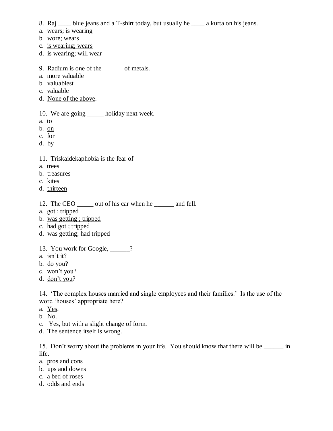- 8. Raj \_\_\_\_ blue jeans and a T-shirt today, but usually he \_\_\_\_ a kurta on his jeans.
- a. wears; is wearing
- b. wore; wears
- c. is wearing; wears
- d. is wearing; will wear
- 9. Radium is one of the \_\_\_\_\_\_ of metals.
- a. more valuable
- b. valuablest
- c. valuable
- d. None of the above.

10. We are going \_\_\_\_\_\_ holiday next week.

- a. to
- b. on
- c. for
- d. by
- 11. Triskaidekaphobia is the fear of
- a. trees
- b. treasures
- c. kites
- d. thirteen
- 12. The CEO \_\_\_\_\_ out of his car when he \_\_\_\_\_\_ and fell.
- a. got ; tripped
- b. was getting ; tripped
- c. had got ; tripped
- d. was getting; had tripped
- 13. You work for Google, \_\_\_\_\_\_?
- a. isn't it?
- b. do you?
- c. won't you?
- d. don't you?

14. 'The complex houses married and single employees and their families.' Is the use of the word 'houses' appropriate here?

- a. Yes.
- b. No.
- c. Yes, but with a slight change of form.
- d. The sentence itself is wrong.

15. Don't worry about the problems in your life. You should know that there will be \_\_\_\_\_\_ in life.

- a. pros and cons
- b. ups and downs
- c. a bed of roses
- d. odds and ends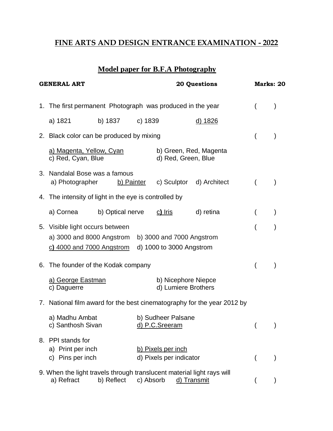## **FINE ARTS AND DESIGN ENTRANCE EXAMINATION - 2022**

# **Model paper for B.F.A Photography**

| <b>GENERAL ART</b>                                                      |                                                                                                    |                                          | <b>20 Questions</b>                           |                          |  | Marks: 20 |  |
|-------------------------------------------------------------------------|----------------------------------------------------------------------------------------------------|------------------------------------------|-----------------------------------------------|--------------------------|--|-----------|--|
| 1.                                                                      | The first permanent Photograph was produced in the year                                            |                                          |                                               |                          |  |           |  |
|                                                                         | b) 1837<br>a) 1821                                                                                 | c) 1839                                  |                                               | <u>d) 1826</u>           |  |           |  |
|                                                                         |                                                                                                    | 2. Black color can be produced by mixing |                                               |                          |  |           |  |
|                                                                         | a) Magenta, Yellow, Cyan<br>c) Red, Cyan, Blue                                                     |                                          | b) Green, Red, Magenta<br>d) Red, Green, Blue |                          |  |           |  |
|                                                                         | 3. Nandalal Bose was a famous<br>a) Photographer                                                   | b) Painter                               |                                               | c) Sculptor d) Architect |  |           |  |
| 4. The intensity of light in the eye is controlled by                   |                                                                                                    |                                          |                                               |                          |  |           |  |
|                                                                         | b) Optical nerve<br>a) Cornea                                                                      |                                          | $c)$ Iris                                     | d) retina                |  |           |  |
|                                                                         | 5. Visible light occurs between<br>a) 3000 and 8000 Angstrom<br>c) 4000 and 7000 Angstrom          |                                          |                                               |                          |  |           |  |
|                                                                         | 6. The founder of the Kodak company                                                                |                                          |                                               |                          |  |           |  |
|                                                                         | a) George Eastman<br>c) Daguerre                                                                   |                                          | b) Nicephore Niepce<br>d) Lumiere Brothers    |                          |  |           |  |
| 7. National film award for the best cinematography for the year 2012 by |                                                                                                    |                                          |                                               |                          |  |           |  |
|                                                                         | a) Madhu Ambat<br>c) Santhosh Sivan                                                                |                                          | b) Sudheer Palsane<br><u>d) P.C.Sreeram</u>   |                          |  |           |  |
|                                                                         | 8. PPI stands for<br>a) Print per inch<br>c) Pins per inch                                         |                                          | b) Pixels per inch<br>d) Pixels per indicator |                          |  |           |  |
|                                                                         | 9. When the light travels through translucent material light rays will<br>a) Refract<br>b) Reflect | c) Absorb                                |                                               | d) Transmit              |  |           |  |